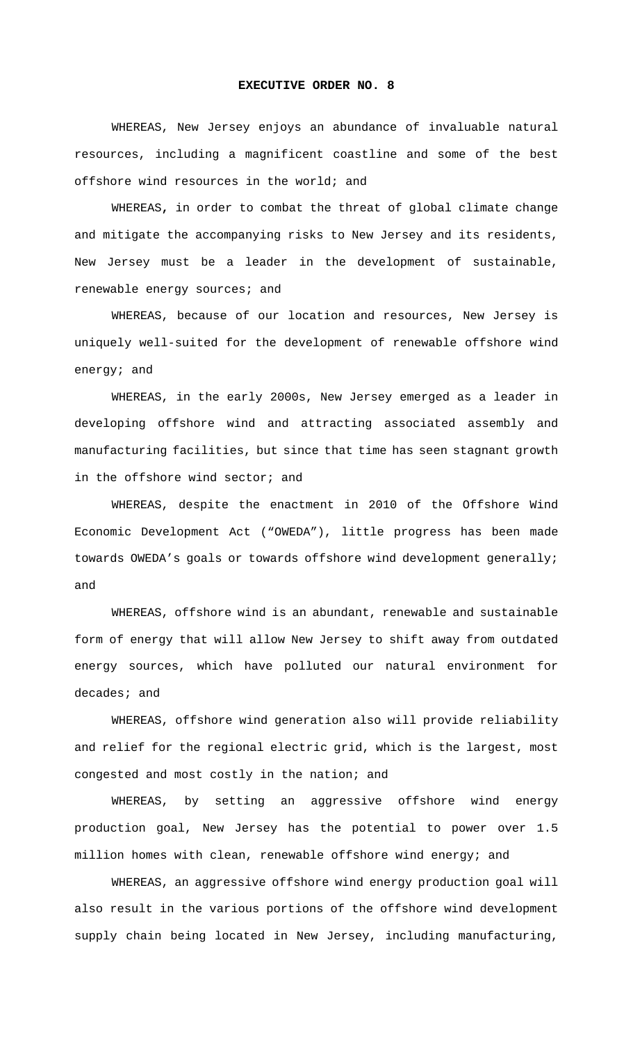## **EXECUTIVE ORDER NO. 8**

WHEREAS, New Jersey enjoys an abundance of invaluable natural resources, including a magnificent coastline and some of the best offshore wind resources in the world; and

WHEREAS**,** in order to combat the threat of global climate change and mitigate the accompanying risks to New Jersey and its residents, New Jersey must be a leader in the development of sustainable, renewable energy sources; and

WHEREAS, because of our location and resources, New Jersey is uniquely well-suited for the development of renewable offshore wind energy; and

WHEREAS, in the early 2000s, New Jersey emerged as a leader in developing offshore wind and attracting associated assembly and manufacturing facilities, but since that time has seen stagnant growth in the offshore wind sector; and

WHEREAS, despite the enactment in 2010 of the Offshore Wind Economic Development Act ("OWEDA"), little progress has been made towards OWEDA's goals or towards offshore wind development generally; and

WHEREAS, offshore wind is an abundant, renewable and sustainable form of energy that will allow New Jersey to shift away from outdated energy sources, which have polluted our natural environment for decades; and

WHEREAS, offshore wind generation also will provide reliability and relief for the regional electric grid, which is the largest, most congested and most costly in the nation; and

WHEREAS, by setting an aggressive offshore wind energy production goal, New Jersey has the potential to power over 1.5 million homes with clean, renewable offshore wind energy; and

WHEREAS, an aggressive offshore wind energy production goal will also result in the various portions of the offshore wind development supply chain being located in New Jersey, including manufacturing,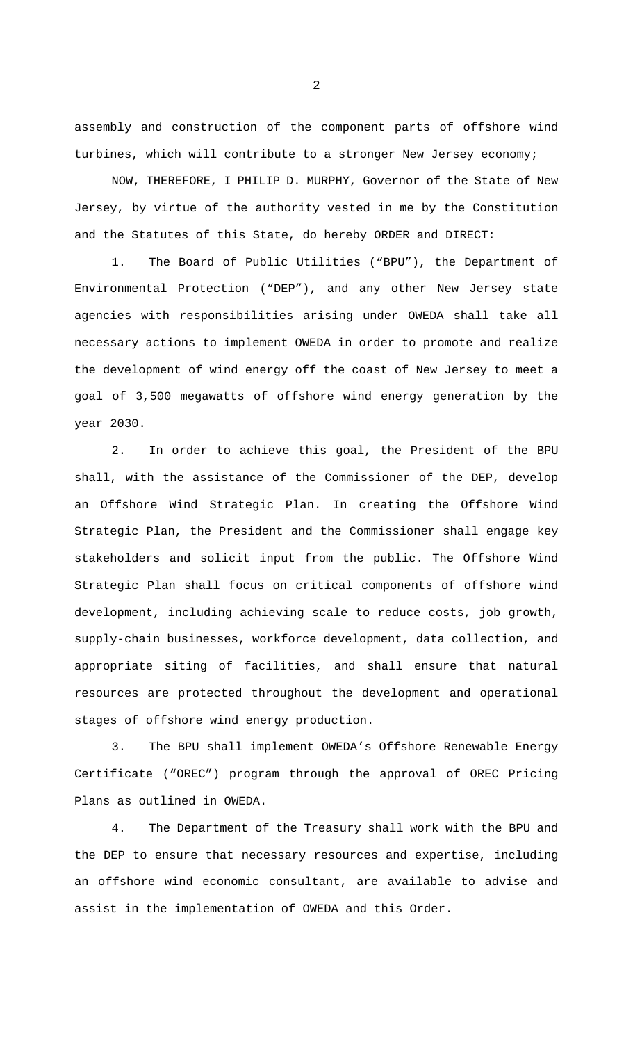assembly and construction of the component parts of offshore wind turbines, which will contribute to a stronger New Jersey economy;

NOW, THEREFORE, I PHILIP D. MURPHY, Governor of the State of New Jersey, by virtue of the authority vested in me by the Constitution and the Statutes of this State, do hereby ORDER and DIRECT:

1. The Board of Public Utilities ("BPU"), the Department of Environmental Protection ("DEP"), and any other New Jersey state agencies with responsibilities arising under OWEDA shall take all necessary actions to implement OWEDA in order to promote and realize the development of wind energy off the coast of New Jersey to meet a goal of 3,500 megawatts of offshore wind energy generation by the year 2030.

2. In order to achieve this goal, the President of the BPU shall, with the assistance of the Commissioner of the DEP, develop an Offshore Wind Strategic Plan. In creating the Offshore Wind Strategic Plan, the President and the Commissioner shall engage key stakeholders and solicit input from the public. The Offshore Wind Strategic Plan shall focus on critical components of offshore wind development, including achieving scale to reduce costs, job growth, supply-chain businesses, workforce development, data collection, and appropriate siting of facilities, and shall ensure that natural resources are protected throughout the development and operational stages of offshore wind energy production.

The BPU shall implement OWEDA's Offshore Renewable Energy Certificate ("OREC") program through the approval of OREC Pricing Plans as outlined in OWEDA.

4. The Department of the Treasury shall work with the BPU and the DEP to ensure that necessary resources and expertise, including an offshore wind economic consultant, are available to advise and assist in the implementation of OWEDA and this Order.

2